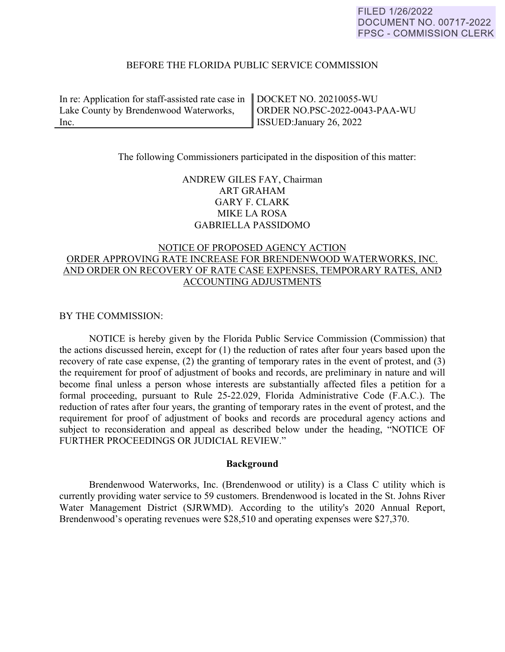### BEFORE THE FLORIDA PUBLIC SERVICE COMMISSION

In re: Application for staff-assisted rate case in Lake County by Brendenwood Waterworks, Inc.

DOCKET NO. 20210055-WU ORDER NO.PSC-2022-0043-PAA-WU ISSUED:January 26, 2022

### The following Commissioners participated in the disposition of this matter:

## ANDREW GILES FAY, Chairman ART GRAHAM GARY F. CLARK MIKE LA ROSA GABRIELLA PASSIDOMO

# NOTICE OF PROPOSED AGENCY ACTION ORDER APPROVING RATE INCREASE FOR BRENDENWOOD WATERWORKS, INC. AND ORDER ON RECOVERY OF RATE CASE EXPENSES, TEMPORARY RATES, AND ACCOUNTING ADJUSTMENTS

### BY THE COMMISSION:

 NOTICE is hereby given by the Florida Public Service Commission (Commission) that the actions discussed herein, except for (1) the reduction of rates after four years based upon the recovery of rate case expense, (2) the granting of temporary rates in the event of protest, and (3) the requirement for proof of adjustment of books and records, are preliminary in nature and will become final unless a person whose interests are substantially affected files a petition for a formal proceeding, pursuant to Rule 25-22.029, Florida Administrative Code (F.A.C.). The reduction of rates after four years, the granting of temporary rates in the event of protest, and the requirement for proof of adjustment of books and records are procedural agency actions and subject to reconsideration and appeal as described below under the heading, "NOTICE OF FURTHER PROCEEDINGS OR JUDICIAL REVIEW."

#### **Background**

Brendenwood Waterworks, Inc. (Brendenwood or utility) is a Class C utility which is currently providing water service to 59 customers. Brendenwood is located in the St. Johns River Water Management District (SJRWMD). According to the utility's 2020 Annual Report, Brendenwood's operating revenues were \$28,510 and operating expenses were \$27,370.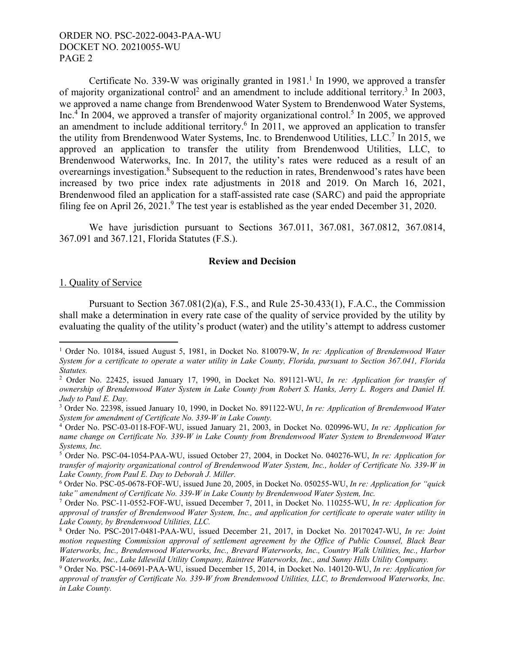Certificate No. 339-W was originally granted in  $1981<sup>1</sup>$  In 1990, we approved a transfer of majority organizational control<sup>2</sup> and an amendment to include additional territory.<sup>3</sup> In 2003, we approved a name change from Brendenwood Water System to Brendenwood Water Systems, Inc.<sup>4</sup> In 2004, we approved a transfer of majority organizational control.<sup>5</sup> In 2005, we approved an amendment to include additional territory.<sup>6</sup> In 2011, we approved an application to transfer the utility from Brendenwood Water Systems, Inc. to Brendenwood Utilities, LLC.<sup>7</sup> In 2015, we approved an application to transfer the utility from Brendenwood Utilities, LLC, to Brendenwood Waterworks, Inc. In 2017, the utility's rates were reduced as a result of an overearnings investigation.<sup>8</sup> Subsequent to the reduction in rates, Brendenwood's rates have been increased by two price index rate adjustments in 2018 and 2019. On March 16, 2021, Brendenwood filed an application for a staff-assisted rate case (SARC) and paid the appropriate filing fee on April 26, 2021.<sup>9</sup> The test year is established as the year ended December 31, 2020.

We have jurisdiction pursuant to Sections 367.011, 367.081, 367.0812, 367.0814, 367.091 and 367.121, Florida Statutes (F.S.).

#### **Review and Decision**

#### 1. Quality of Service

 $\overline{a}$ 

Pursuant to Section 367.081(2)(a), F.S., and Rule 25-30.433(1), F.A.C., the Commission shall make a determination in every rate case of the quality of service provided by the utility by evaluating the quality of the utility's product (water) and the utility's attempt to address customer

<sup>&</sup>lt;sup>1</sup> Order No. 10184, issued August 5, 1981, in Docket No. 810079-W, *In re: Application of Brendenwood Water System for a certificate to operate a water utility in Lake County, Florida, pursuant to Section 367.041, Florida Statutes.* 

<sup>2</sup> Order No. 22425, issued January 17, 1990, in Docket No. 891121-WU, *In re: Application for transfer of ownership of Brendenwood Water System in Lake County from Robert S. Hanks, Jerry L. Rogers and Daniel H. Judy to Paul E. Day.*

<sup>3</sup> Order No. 22398, issued January 10, 1990, in Docket No. 891122-WU, *In re: Application of Brendenwood Water System for amendment of Certificate No. 339-W in Lake County.*

<sup>4</sup> Order No. PSC-03-0118-FOF-WU, issued January 21, 2003, in Docket No. 020996-WU, *In re: Application for name change on Certificate No. 339-W in Lake County from Brendenwood Water System to Brendenwood Water Systems, Inc.*

<sup>5</sup> Order No. PSC-04-1054-PAA-WU, issued October 27, 2004, in Docket No. 040276-WU, *In re: Application for transfer of majority organizational control of Brendenwood Water System, Inc., holder of Certificate No. 339-W in Lake County, from Paul E. Day to Deborah J. Miller.*

<sup>6</sup> Order No. PSC-05-0678-FOF-WU, issued June 20, 2005, in Docket No. 050255-WU, *In re: Application for "quick take" amendment of Certificate No. 339-W in Lake County by Brendenwood Water System, Inc.*

<sup>7</sup> Order No. PSC-11-0552-FOF-WU, issued December 7, 2011, in Docket No. 110255-WU, *In re: Application for approval of transfer of Brendenwood Water System, Inc., and application for certificate to operate water utility in Lake County, by Brendenwood Utilities, LLC.*

<sup>8</sup> Order No. PSC-2017-0481-PAA-WU, issued December 21, 2017, in Docket No. 20170247-WU, *In re: Joint motion requesting Commission approval of settlement agreement by the Office of Public Counsel, Black Bear Waterworks, Inc., Brendenwood Waterworks, Inc., Brevard Waterworks, Inc., Country Walk Utilities, Inc., Harbor Waterworks, Inc., Lake Idlewild Utility Company, Raintree Waterworks, Inc., and Sunny Hills Utility Company.*

<sup>9</sup> Order No. PSC-14-0691-PAA-WU, issued December 15, 2014, in Docket No. 140120-WU, *In re: Application for approval of transfer of Certificate No. 339-W from Brendenwood Utilities, LLC, to Brendenwood Waterworks, Inc. in Lake County.*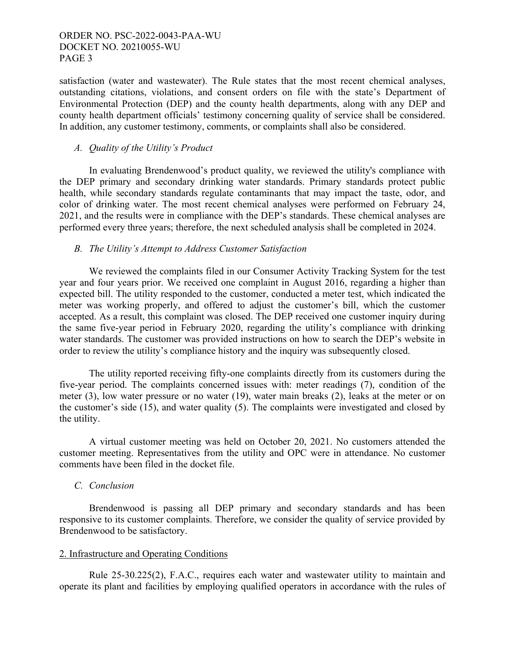satisfaction (water and wastewater). The Rule states that the most recent chemical analyses, outstanding citations, violations, and consent orders on file with the state's Department of Environmental Protection (DEP) and the county health departments, along with any DEP and county health department officials' testimony concerning quality of service shall be considered. In addition, any customer testimony, comments, or complaints shall also be considered.

## *A. Quality of the Utility's Product*

In evaluating Brendenwood's product quality, we reviewed the utility's compliance with the DEP primary and secondary drinking water standards. Primary standards protect public health, while secondary standards regulate contaminants that may impact the taste, odor, and color of drinking water. The most recent chemical analyses were performed on February 24, 2021, and the results were in compliance with the DEP's standards. These chemical analyses are performed every three years; therefore, the next scheduled analysis shall be completed in 2024.

### *B. The Utility's Attempt to Address Customer Satisfaction*

We reviewed the complaints filed in our Consumer Activity Tracking System for the test year and four years prior. We received one complaint in August 2016, regarding a higher than expected bill. The utility responded to the customer, conducted a meter test, which indicated the meter was working properly, and offered to adjust the customer's bill, which the customer accepted. As a result, this complaint was closed. The DEP received one customer inquiry during the same five-year period in February 2020, regarding the utility's compliance with drinking water standards. The customer was provided instructions on how to search the DEP's website in order to review the utility's compliance history and the inquiry was subsequently closed.

The utility reported receiving fifty-one complaints directly from its customers during the five-year period. The complaints concerned issues with: meter readings (7), condition of the meter (3), low water pressure or no water (19), water main breaks (2), leaks at the meter or on the customer's side (15), and water quality (5). The complaints were investigated and closed by the utility.

A virtual customer meeting was held on October 20, 2021. No customers attended the customer meeting. Representatives from the utility and OPC were in attendance. No customer comments have been filed in the docket file.

#### *C. Conclusion*

Brendenwood is passing all DEP primary and secondary standards and has been responsive to its customer complaints. Therefore, we consider the quality of service provided by Brendenwood to be satisfactory.

### 2. Infrastructure and Operating Conditions

Rule 25-30.225(2), F.A.C., requires each water and wastewater utility to maintain and operate its plant and facilities by employing qualified operators in accordance with the rules of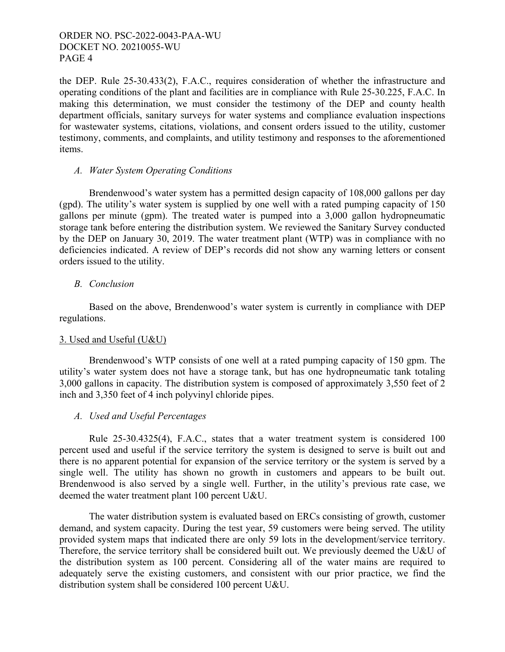the DEP. Rule 25-30.433(2), F.A.C., requires consideration of whether the infrastructure and operating conditions of the plant and facilities are in compliance with Rule 25-30.225, F.A.C. In making this determination, we must consider the testimony of the DEP and county health department officials, sanitary surveys for water systems and compliance evaluation inspections for wastewater systems, citations, violations, and consent orders issued to the utility, customer testimony, comments, and complaints, and utility testimony and responses to the aforementioned items.

## *A. Water System Operating Conditions*

Brendenwood's water system has a permitted design capacity of 108,000 gallons per day (gpd). The utility's water system is supplied by one well with a rated pumping capacity of 150 gallons per minute (gpm). The treated water is pumped into a 3,000 gallon hydropneumatic storage tank before entering the distribution system. We reviewed the Sanitary Survey conducted by the DEP on January 30, 2019. The water treatment plant (WTP) was in compliance with no deficiencies indicated. A review of DEP's records did not show any warning letters or consent orders issued to the utility.

## *B. Conclusion*

Based on the above, Brendenwood's water system is currently in compliance with DEP regulations.

## 3. Used and Useful (U&U)

Brendenwood's WTP consists of one well at a rated pumping capacity of 150 gpm. The utility's water system does not have a storage tank, but has one hydropneumatic tank totaling 3,000 gallons in capacity. The distribution system is composed of approximately 3,550 feet of 2 inch and 3,350 feet of 4 inch polyvinyl chloride pipes.

## *A. Used and Useful Percentages*

Rule 25-30.4325(4), F.A.C., states that a water treatment system is considered 100 percent used and useful if the service territory the system is designed to serve is built out and there is no apparent potential for expansion of the service territory or the system is served by a single well. The utility has shown no growth in customers and appears to be built out. Brendenwood is also served by a single well. Further, in the utility's previous rate case, we deemed the water treatment plant 100 percent U&U.

The water distribution system is evaluated based on ERCs consisting of growth, customer demand, and system capacity. During the test year, 59 customers were being served. The utility provided system maps that indicated there are only 59 lots in the development/service territory. Therefore, the service territory shall be considered built out. We previously deemed the U&U of the distribution system as 100 percent. Considering all of the water mains are required to adequately serve the existing customers, and consistent with our prior practice, we find the distribution system shall be considered 100 percent U&U.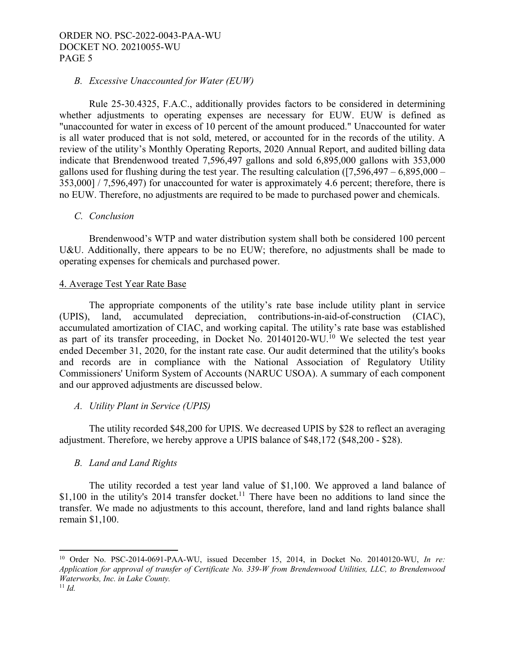### *B. Excessive Unaccounted for Water (EUW)*

Rule 25-30.4325, F.A.C., additionally provides factors to be considered in determining whether adjustments to operating expenses are necessary for EUW. EUW is defined as "unaccounted for water in excess of 10 percent of the amount produced." Unaccounted for water is all water produced that is not sold, metered, or accounted for in the records of the utility. A review of the utility's Monthly Operating Reports, 2020 Annual Report, and audited billing data indicate that Brendenwood treated 7,596,497 gallons and sold 6,895,000 gallons with 353,000 gallons used for flushing during the test year. The resulting calculation  $(7,596,497 - 6,895,000 -$ 353,000] / 7,596,497) for unaccounted for water is approximately 4.6 percent; therefore, there is no EUW. Therefore, no adjustments are required to be made to purchased power and chemicals.

#### *C. Conclusion*

Brendenwood's WTP and water distribution system shall both be considered 100 percent U&U. Additionally, there appears to be no EUW; therefore, no adjustments shall be made to operating expenses for chemicals and purchased power.

### 4. Average Test Year Rate Base

The appropriate components of the utility's rate base include utility plant in service (UPIS), land, accumulated depreciation, contributions-in-aid-of-construction (CIAC), accumulated amortization of CIAC, and working capital. The utility's rate base was established as part of its transfer proceeding, in Docket No. 20140120-WU.<sup>10</sup> We selected the test year ended December 31, 2020, for the instant rate case. Our audit determined that the utility's books and records are in compliance with the National Association of Regulatory Utility Commissioners' Uniform System of Accounts (NARUC USOA). A summary of each component and our approved adjustments are discussed below.

## *A. Utility Plant in Service (UPIS)*

The utility recorded \$48,200 for UPIS. We decreased UPIS by \$28 to reflect an averaging adjustment. Therefore, we hereby approve a UPIS balance of \$48,172 (\$48,200 - \$28).

## *B. Land and Land Rights*

The utility recorded a test year land value of \$1,100. We approved a land balance of \$1,100 in the utility's 2014 transfer docket.<sup>11</sup> There have been no additions to land since the transfer. We made no adjustments to this account, therefore, land and land rights balance shall remain \$1,100.

1

<sup>10</sup> Order No. PSC-2014-0691-PAA-WU, issued December 15, 2014, in Docket No. 20140120-WU, *In re: Application for approval of transfer of Certificate No. 339-W from Brendenwood Utilities, LLC, to Brendenwood Waterworks, Inc. in Lake County.* 11 *Id.*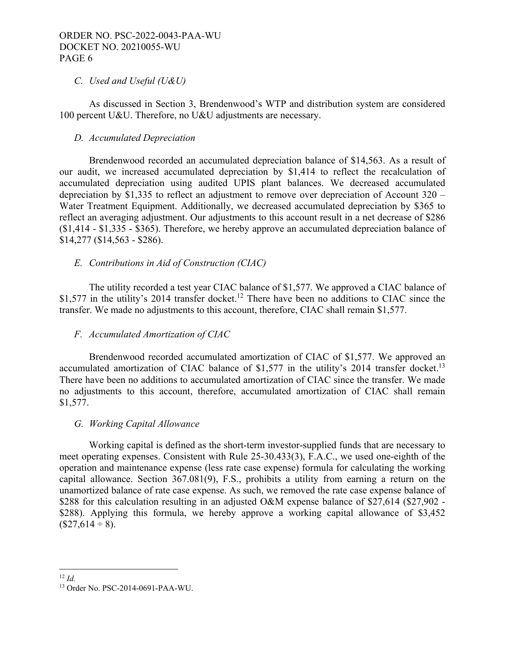## *C. Used and Useful (U&U)*

As discussed in Section 3, Brendenwood's WTP and distribution system are considered 100 percent U&U. Therefore, no U&U adjustments are necessary.

### *D. Accumulated Depreciation*

Brendenwood recorded an accumulated depreciation balance of \$14,563. As a result of our audit, we increased accumulated depreciation by \$1,414 to reflect the recalculation of accumulated depreciation using audited UPIS plant balances. We decreased accumulated depreciation by \$1,335 to reflect an adjustment to remove over depreciation of Account 320 – Water Treatment Equipment. Additionally, we decreased accumulated depreciation by \$365 to reflect an averaging adjustment. Our adjustments to this account result in a net decrease of \$286 (\$1,414 - \$1,335 - \$365). Therefore, we hereby approve an accumulated depreciation balance of \$14,277 (\$14,563 - \$286).

## *E. Contributions in Aid of Construction (CIAC)*

The utility recorded a test year CIAC balance of \$1,577. We approved a CIAC balance of \$1,577 in the utility's 2014 transfer docket.<sup>12</sup> There have been no additions to CIAC since the transfer. We made no adjustments to this account, therefore, CIAC shall remain \$1,577.

## *F. Accumulated Amortization of CIAC*

Brendenwood recorded accumulated amortization of CIAC of \$1,577. We approved an accumulated amortization of CIAC balance of  $$1,577$  in the utility's 2014 transfer docket.<sup>13</sup> There have been no additions to accumulated amortization of CIAC since the transfer. We made no adjustments to this account, therefore, accumulated amortization of CIAC shall remain \$1,577.

#### *G. Working Capital Allowance*

Working capital is defined as the short-term investor-supplied funds that are necessary to meet operating expenses. Consistent with Rule 25-30.433(3), F.A.C., we used one-eighth of the operation and maintenance expense (less rate case expense) formula for calculating the working capital allowance. Section 367.081(9), F.S., prohibits a utility from earning a return on the unamortized balance of rate case expense. As such, we removed the rate case expense balance of \$288 for this calculation resulting in an adjusted O&M expense balance of \$27,614 (\$27,902 -\$288). Applying this formula, we hereby approve a working capital allowance of \$3,452  $($27,614 \div 8).$ 

1

 $12 \, Id.$ 

<sup>13</sup> Order No. PSC-2014-0691-PAA-WU.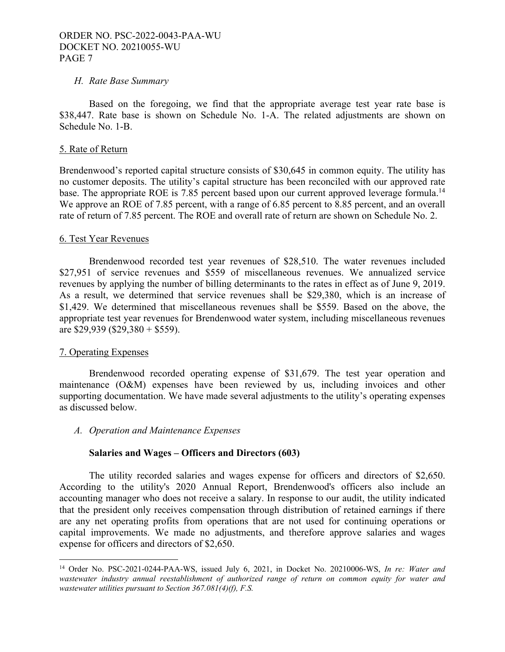### *H. Rate Base Summary*

Based on the foregoing, we find that the appropriate average test year rate base is \$38,447. Rate base is shown on Schedule No. 1-A. The related adjustments are shown on Schedule No. 1-B.

### 5. Rate of Return

Brendenwood's reported capital structure consists of \$30,645 in common equity. The utility has no customer deposits. The utility's capital structure has been reconciled with our approved rate base. The appropriate ROE is 7.85 percent based upon our current approved leverage formula.<sup>14</sup> We approve an ROE of 7.85 percent, with a range of 6.85 percent to 8.85 percent, and an overall rate of return of 7.85 percent. The ROE and overall rate of return are shown on Schedule No. 2.

### 6. Test Year Revenues

Brendenwood recorded test year revenues of \$28,510. The water revenues included \$27,951 of service revenues and \$559 of miscellaneous revenues. We annualized service revenues by applying the number of billing determinants to the rates in effect as of June 9, 2019. As a result, we determined that service revenues shall be \$29,380, which is an increase of \$1,429. We determined that miscellaneous revenues shall be \$559. Based on the above, the appropriate test year revenues for Brendenwood water system, including miscellaneous revenues are \$29,939 (\$29,380 + \$559).

## 7. Operating Expenses

 $\overline{a}$ 

Brendenwood recorded operating expense of \$31,679. The test year operation and maintenance (O&M) expenses have been reviewed by us, including invoices and other supporting documentation. We have made several adjustments to the utility's operating expenses as discussed below.

*A. Operation and Maintenance Expenses* 

## **Salaries and Wages – Officers and Directors (603)**

The utility recorded salaries and wages expense for officers and directors of \$2,650. According to the utility's 2020 Annual Report, Brendenwood's officers also include an accounting manager who does not receive a salary. In response to our audit, the utility indicated that the president only receives compensation through distribution of retained earnings if there are any net operating profits from operations that are not used for continuing operations or capital improvements. We made no adjustments, and therefore approve salaries and wages expense for officers and directors of \$2,650.

<sup>14</sup> Order No. PSC-2021-0244-PAA-WS, issued July 6, 2021, in Docket No. 20210006-WS, *In re: Water and wastewater industry annual reestablishment of authorized range of return on common equity for water and wastewater utilities pursuant to Section 367.081(4)(f), F.S.*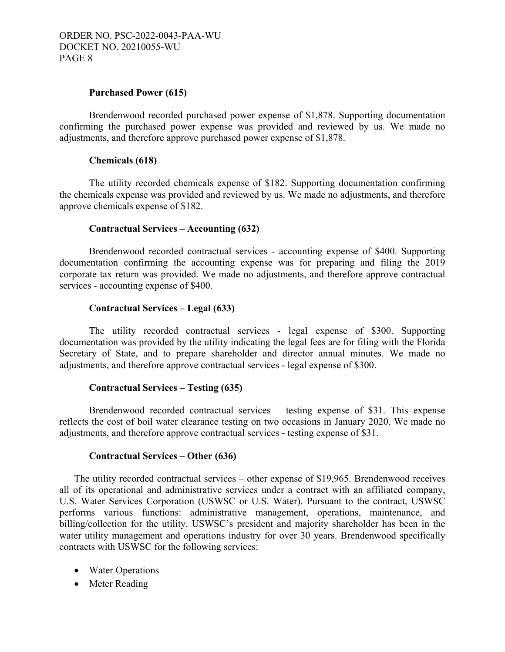### **Purchased Power (615)**

Brendenwood recorded purchased power expense of \$1,878. Supporting documentation confirming the purchased power expense was provided and reviewed by us. We made no adjustments, and therefore approve purchased power expense of \$1,878.

### **Chemicals (618)**

The utility recorded chemicals expense of \$182. Supporting documentation confirming the chemicals expense was provided and reviewed by us. We made no adjustments, and therefore approve chemicals expense of \$182.

### **Contractual Services – Accounting (632)**

Brendenwood recorded contractual services - accounting expense of \$400. Supporting documentation confirming the accounting expense was for preparing and filing the 2019 corporate tax return was provided. We made no adjustments, and therefore approve contractual services - accounting expense of \$400.

### **Contractual Services – Legal (633)**

The utility recorded contractual services - legal expense of \$300. Supporting documentation was provided by the utility indicating the legal fees are for filing with the Florida Secretary of State, and to prepare shareholder and director annual minutes. We made no adjustments, and therefore approve contractual services - legal expense of \$300.

#### **Contractual Services – Testing (635)**

Brendenwood recorded contractual services – testing expense of \$31. This expense reflects the cost of boil water clearance testing on two occasions in January 2020. We made no adjustments, and therefore approve contractual services - testing expense of \$31.

#### **Contractual Services – Other (636)**

The utility recorded contractual services – other expense of \$19,965. Brendenwood receives all of its operational and administrative services under a contract with an affiliated company, U.S. Water Services Corporation (USWSC or U.S. Water). Pursuant to the contract, USWSC performs various functions: administrative management, operations, maintenance, and billing/collection for the utility. USWSC's president and majority shareholder has been in the water utility management and operations industry for over 30 years. Brendenwood specifically contracts with USWSC for the following services:

- Water Operations
- Meter Reading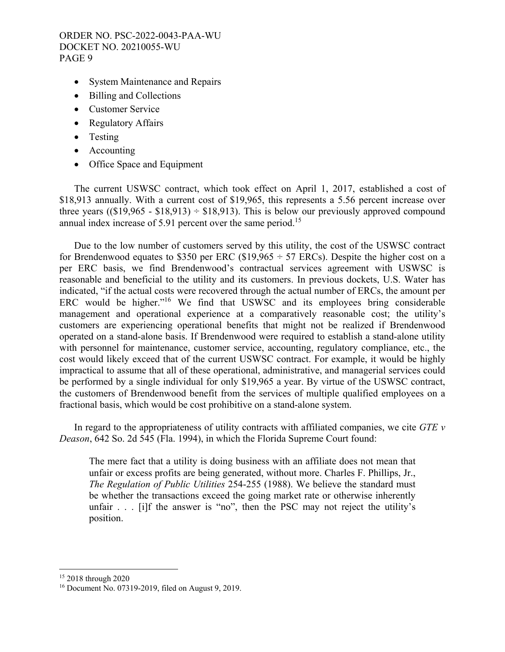- System Maintenance and Repairs
- Billing and Collections
- Customer Service
- Regulatory Affairs
- Testing
- Accounting
- Office Space and Equipment

The current USWSC contract, which took effect on April 1, 2017, established a cost of \$18,913 annually. With a current cost of \$19,965, this represents a 5.56 percent increase over three years  $((\$19,965 - \$18,913) \div \$18,913)$ . This is below our previously approved compound annual index increase of 5.91 percent over the same period.<sup>15</sup>

Due to the low number of customers served by this utility, the cost of the USWSC contract for Brendenwood equates to \$350 per ERC (\$19,965  $\div$  57 ERCs). Despite the higher cost on a per ERC basis, we find Brendenwood's contractual services agreement with USWSC is reasonable and beneficial to the utility and its customers. In previous dockets, U.S. Water has indicated, "if the actual costs were recovered through the actual number of ERCs, the amount per ERC would be higher."<sup>16</sup> We find that USWSC and its employees bring considerable management and operational experience at a comparatively reasonable cost; the utility's customers are experiencing operational benefits that might not be realized if Brendenwood operated on a stand-alone basis. If Brendenwood were required to establish a stand-alone utility with personnel for maintenance, customer service, accounting, regulatory compliance, etc., the cost would likely exceed that of the current USWSC contract. For example, it would be highly impractical to assume that all of these operational, administrative, and managerial services could be performed by a single individual for only \$19,965 a year. By virtue of the USWSC contract, the customers of Brendenwood benefit from the services of multiple qualified employees on a fractional basis, which would be cost prohibitive on a stand-alone system.

In regard to the appropriateness of utility contracts with affiliated companies, we cite *GTE v Deason*, 642 So. 2d 545 (Fla. 1994), in which the Florida Supreme Court found:

The mere fact that a utility is doing business with an affiliate does not mean that unfair or excess profits are being generated, without more. Charles F. Phillips, Jr., *The Regulation of Public Utilities* 254-255 (1988). We believe the standard must be whether the transactions exceed the going market rate or otherwise inherently unfair  $\ldots$  [i]f the answer is "no", then the PSC may not reject the utility's position.

 $\overline{a}$ 

<sup>15 2018</sup> through 2020

<sup>16</sup> Document No. 07319-2019, filed on August 9, 2019.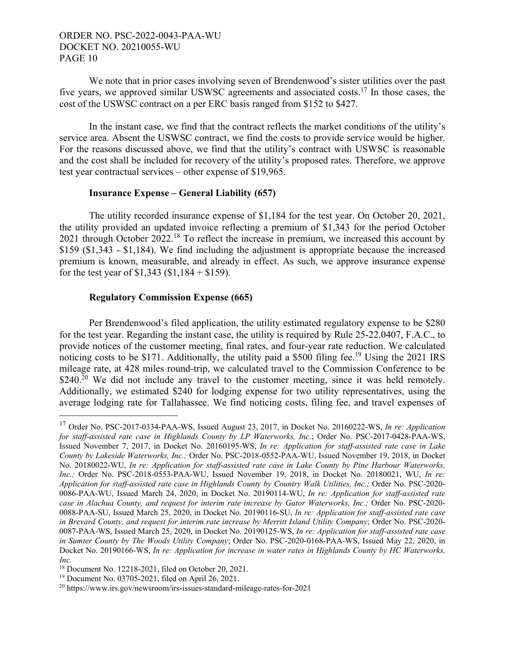We note that in prior cases involving seven of Brendenwood's sister utilities over the past five years, we approved similar USWSC agreements and associated costs.17 In those cases, the cost of the USWSC contract on a per ERC basis ranged from \$152 to \$427.

In the instant case, we find that the contract reflects the market conditions of the utility's service area. Absent the USWSC contract, we find the costs to provide service would be higher. For the reasons discussed above, we find that the utility's contract with USWSC is reasonable and the cost shall be included for recovery of the utility's proposed rates. Therefore, we approve test year contractual services – other expense of \$19,965.

#### **Insurance Expense – General Liability (657)**

The utility recorded insurance expense of \$1,184 for the test year. On October 20, 2021, the utility provided an updated invoice reflecting a premium of \$1,343 for the period October 2021 through October 2022.<sup>18</sup> To reflect the increase in premium, we increased this account by \$159 (\$1,343 - \$1,184). We find including the adjustment is appropriate because the increased premium is known, measurable, and already in effect. As such, we approve insurance expense for the test year of  $$1,343$  ( $$1,184 + $159$ ).

## **Regulatory Commission Expense (665)**

Per Brendenwood's filed application, the utility estimated regulatory expense to be \$280 for the test year. Regarding the instant case, the utility is required by Rule 25-22.0407, F.A.C., to provide notices of the customer meeting, final rates, and four-year rate reduction. We calculated noticing costs to be \$171. Additionally, the utility paid a \$500 filing fee.<sup>19</sup> Using the 2021 IRS mileage rate, at 428 miles round-trip, we calculated travel to the Commission Conference to be  $$240.<sup>20</sup>$  We did not include any travel to the customer meeting, since it was held remotely. Additionally, we estimated \$240 for lodging expense for two utility representatives, using the average lodging rate for Tallahassee. We find noticing costs, filing fee, and travel expenses of

 $\overline{a}$ 

<sup>17</sup> Order No. PSC-2017-0334-PAA-WS, Issued August 23, 2017, in Docket No. 20160222-WS, *In re: Application for staff-assisted rate case in Highlands County by LP Waterworks, Inc.*; Order No. PSC-2017-0428-PAA-WS, Issued November 7, 2017, in Docket No. 20160195-WS, *In re: Application for staff-assisted rate case in Lake County by Lakeside Waterworks, Inc.;* Order No. PSC-2018-0552-PAA-WU, Issued November 19, 2018, in Docket No. 20180022-WU, *In re: Application for staff-assisted rate case in Lake County by Pine Harbour Waterworks, Inc.;* Order No. PSC-2018-0553-PAA-WU, Issued November 19, 2018, in Docket No. 20180021, WU, *In re: Application for staff-assisted rate case in Highlands County by Country Walk Utilities, Inc.;* Order No. PSC-2020- 0086-PAA-WU, Issued March 24, 2020, in Docket No. 20190114-WU, *In re: Application for staff-assisted rate case in Alachua County, and request for interim rate increase by Gator Waterworks, Inc.;* Order No. PSC-2020- 0088-PAA-SU, Issued March 25, 2020, in Docket No. 20190116-SU, *In re: Application for staff-assisted rate case in Brevard County, and request for interim rate increase by Merritt Island Utility Company*; Order No. PSC-2020- 0087-PAA-WS, Issued March 25, 2020, in Docket No. 20190125-WS, *In re: Application for staff-assisted rate case in Sumter County by The Woods Utility Company*; Order No. PSC-2020-0168-PAA-WS, Issued May 22, 2020, in Docket No. 20190166-WS, *In re: Application for increase in water rates in Highlands County by HC Waterworks, Inc.*

<sup>18</sup> Document No. 12218-2021, filed on October 20, 2021.

<sup>19</sup> Document No. 03705-2021, filed on April 26, 2021.

<sup>20</sup> https://www.irs.gov/newsroom/irs-issues-standard-mileage-rates-for-2021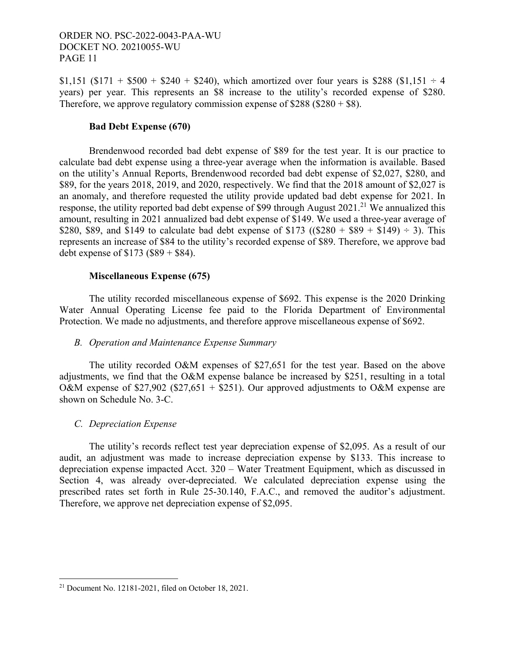\$1,151 (\$171 + \$500 + \$240 + \$240), which amortized over four years is \$288 (\$1,151  $\div$  4 years) per year. This represents an \$8 increase to the utility's recorded expense of \$280. Therefore, we approve regulatory commission expense of  $$288 ($280 + $8)$ .

### **Bad Debt Expense (670)**

Brendenwood recorded bad debt expense of \$89 for the test year. It is our practice to calculate bad debt expense using a three-year average when the information is available. Based on the utility's Annual Reports, Brendenwood recorded bad debt expense of \$2,027, \$280, and \$89, for the years 2018, 2019, and 2020, respectively. We find that the 2018 amount of \$2,027 is an anomaly, and therefore requested the utility provide updated bad debt expense for 2021. In response, the utility reported bad debt expense of \$99 through August  $2021$ .<sup>21</sup> We annualized this amount, resulting in 2021 annualized bad debt expense of \$149. We used a three-year average of \$280, \$89, and \$149 to calculate bad debt expense of \$173 ( $(\$280 + \$89 + \$149) \div 3$ ). This represents an increase of \$84 to the utility's recorded expense of \$89. Therefore, we approve bad debt expense of  $$173 ($89 + $84)$ .

## **Miscellaneous Expense (675)**

The utility recorded miscellaneous expense of \$692. This expense is the 2020 Drinking Water Annual Operating License fee paid to the Florida Department of Environmental Protection. We made no adjustments, and therefore approve miscellaneous expense of \$692.

## *B. Operation and Maintenance Expense Summary*

The utility recorded O&M expenses of \$27,651 for the test year. Based on the above adjustments, we find that the O&M expense balance be increased by \$251, resulting in a total O&M expense of  $$27,902$  ( $$27,651 + $251$ ). Our approved adjustments to O&M expense are shown on Schedule No. 3-C.

## *C. Depreciation Expense*

The utility's records reflect test year depreciation expense of \$2,095. As a result of our audit, an adjustment was made to increase depreciation expense by \$133. This increase to depreciation expense impacted Acct. 320 – Water Treatment Equipment, which as discussed in Section 4, was already over-depreciated. We calculated depreciation expense using the prescribed rates set forth in Rule 25-30.140, F.A.C., and removed the auditor's adjustment. Therefore, we approve net depreciation expense of \$2,095.

 $\overline{a}$ 

<sup>21</sup> Document No. 12181-2021, filed on October 18, 2021.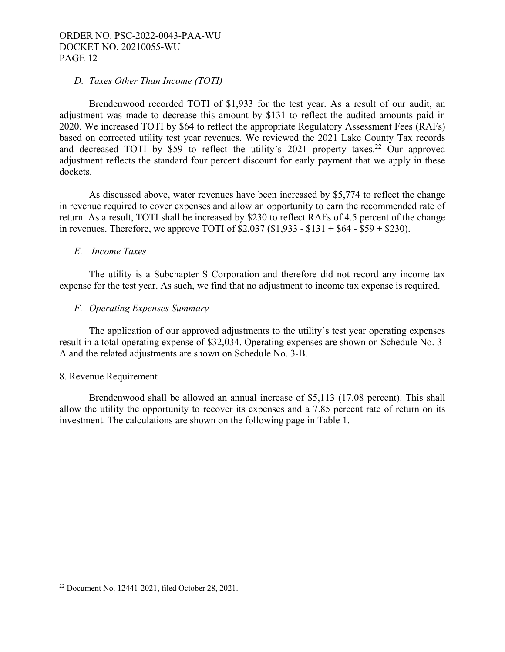## *D. Taxes Other Than Income (TOTI)*

Brendenwood recorded TOTI of \$1,933 for the test year. As a result of our audit, an adjustment was made to decrease this amount by \$131 to reflect the audited amounts paid in 2020. We increased TOTI by \$64 to reflect the appropriate Regulatory Assessment Fees (RAFs) based on corrected utility test year revenues. We reviewed the 2021 Lake County Tax records and decreased TOTI by \$59 to reflect the utility's 2021 property taxes.<sup>22</sup> Our approved adjustment reflects the standard four percent discount for early payment that we apply in these dockets.

As discussed above, water revenues have been increased by \$5,774 to reflect the change in revenue required to cover expenses and allow an opportunity to earn the recommended rate of return. As a result, TOTI shall be increased by \$230 to reflect RAFs of 4.5 percent of the change in revenues. Therefore, we approve TOTI of  $$2,037$  ( $$1,933 - $131 + $64 - $59 + $230$ ).

## *E. Income Taxes*

The utility is a Subchapter S Corporation and therefore did not record any income tax expense for the test year. As such, we find that no adjustment to income tax expense is required.

## *F. Operating Expenses Summary*

The application of our approved adjustments to the utility's test year operating expenses result in a total operating expense of \$32,034. Operating expenses are shown on Schedule No. 3- A and the related adjustments are shown on Schedule No. 3-B.

#### 8. Revenue Requirement

 $\overline{a}$ 

Brendenwood shall be allowed an annual increase of \$5,113 (17.08 percent). This shall allow the utility the opportunity to recover its expenses and a 7.85 percent rate of return on its investment. The calculations are shown on the following page in Table 1.

<sup>22</sup> Document No. 12441-2021, filed October 28, 2021.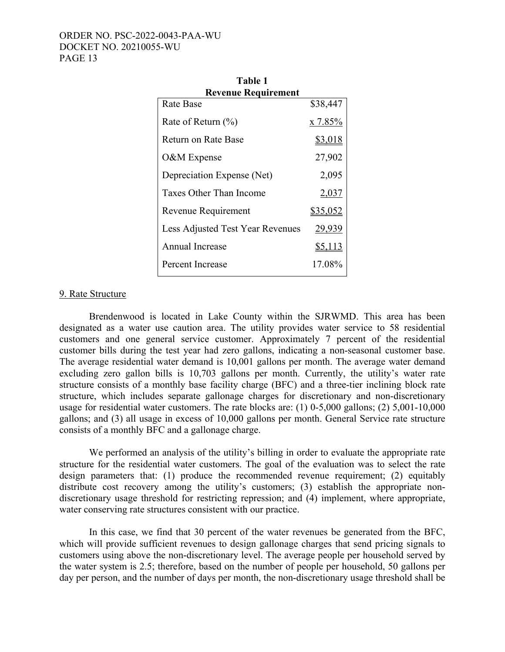| Table 1                          |                 |  |  |  |
|----------------------------------|-----------------|--|--|--|
| <b>Revenue Requirement</b>       |                 |  |  |  |
| Rate Base                        | \$38,447        |  |  |  |
| Rate of Return $(\%)$            | x 7.85%         |  |  |  |
| Return on Rate Base              | \$3,018         |  |  |  |
| O&M Expense                      | 27,902          |  |  |  |
| Depreciation Expense (Net)       | 2,095           |  |  |  |
| Taxes Other Than Income          | 2,037           |  |  |  |
| Revenue Requirement              | <u>\$35,052</u> |  |  |  |
| Less Adjusted Test Year Revenues | 29,939          |  |  |  |
| Annual Increase                  | <u>\$5,113</u>  |  |  |  |
| Percent Increase                 | 17.08%          |  |  |  |

### 9. Rate Structure

Brendenwood is located in Lake County within the SJRWMD. This area has been designated as a water use caution area. The utility provides water service to 58 residential customers and one general service customer. Approximately 7 percent of the residential customer bills during the test year had zero gallons, indicating a non-seasonal customer base. The average residential water demand is 10,001 gallons per month. The average water demand excluding zero gallon bills is 10,703 gallons per month. Currently, the utility's water rate structure consists of a monthly base facility charge (BFC) and a three-tier inclining block rate structure, which includes separate gallonage charges for discretionary and non-discretionary usage for residential water customers. The rate blocks are: (1) 0-5,000 gallons; (2) 5,001-10,000 gallons; and (3) all usage in excess of 10,000 gallons per month. General Service rate structure consists of a monthly BFC and a gallonage charge.

We performed an analysis of the utility's billing in order to evaluate the appropriate rate structure for the residential water customers. The goal of the evaluation was to select the rate design parameters that: (1) produce the recommended revenue requirement; (2) equitably distribute cost recovery among the utility's customers; (3) establish the appropriate nondiscretionary usage threshold for restricting repression; and (4) implement, where appropriate, water conserving rate structures consistent with our practice.

In this case, we find that 30 percent of the water revenues be generated from the BFC, which will provide sufficient revenues to design gallonage charges that send pricing signals to customers using above the non-discretionary level. The average people per household served by the water system is 2.5; therefore, based on the number of people per household, 50 gallons per day per person, and the number of days per month, the non-discretionary usage threshold shall be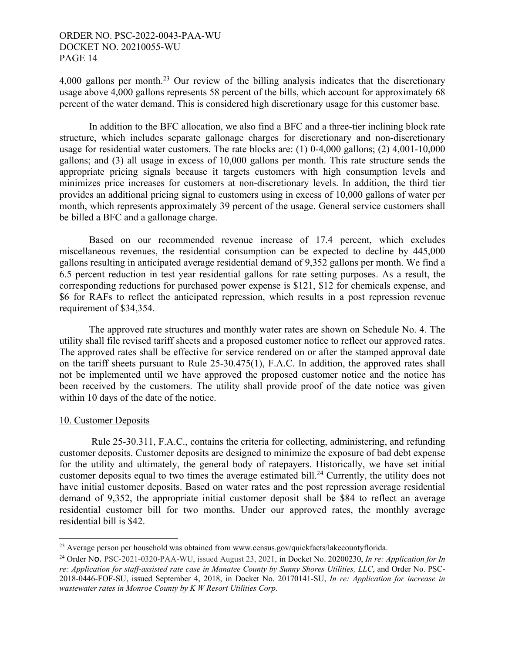4,000 gallons per month.<sup>23</sup> Our review of the billing analysis indicates that the discretionary usage above 4,000 gallons represents 58 percent of the bills, which account for approximately 68 percent of the water demand. This is considered high discretionary usage for this customer base.

In addition to the BFC allocation, we also find a BFC and a three-tier inclining block rate structure, which includes separate gallonage charges for discretionary and non-discretionary usage for residential water customers. The rate blocks are: (1) 0-4,000 gallons; (2) 4,001-10,000 gallons; and (3) all usage in excess of 10,000 gallons per month. This rate structure sends the appropriate pricing signals because it targets customers with high consumption levels and minimizes price increases for customers at non-discretionary levels. In addition, the third tier provides an additional pricing signal to customers using in excess of 10,000 gallons of water per month, which represents approximately 39 percent of the usage. General service customers shall be billed a BFC and a gallonage charge.

Based on our recommended revenue increase of 17.4 percent, which excludes miscellaneous revenues, the residential consumption can be expected to decline by 445,000 gallons resulting in anticipated average residential demand of 9,352 gallons per month. We find a 6.5 percent reduction in test year residential gallons for rate setting purposes. As a result, the corresponding reductions for purchased power expense is \$121, \$12 for chemicals expense, and \$6 for RAFs to reflect the anticipated repression, which results in a post repression revenue requirement of \$34,354.

The approved rate structures and monthly water rates are shown on Schedule No. 4. The utility shall file revised tariff sheets and a proposed customer notice to reflect our approved rates. The approved rates shall be effective for service rendered on or after the stamped approval date on the tariff sheets pursuant to Rule 25-30.475(1), F.A.C. In addition, the approved rates shall not be implemented until we have approved the proposed customer notice and the notice has been received by the customers. The utility shall provide proof of the date notice was given within 10 days of the date of the notice.

## 10. Customer Deposits

 Rule 25-30.311, F.A.C., contains the criteria for collecting, administering, and refunding customer deposits. Customer deposits are designed to minimize the exposure of bad debt expense for the utility and ultimately, the general body of ratepayers. Historically, we have set initial customer deposits equal to two times the average estimated bill.<sup>24</sup> Currently, the utility does not have initial customer deposits. Based on water rates and the post repression average residential demand of 9,352, the appropriate initial customer deposit shall be \$84 to reflect an average residential customer bill for two months. Under our approved rates, the monthly average residential bill is \$42.

 $\overline{a}$ <sup>23</sup> Average person per household was obtained from www.census.gov/quickfacts/lakecountyflorida.

<sup>24</sup> Order No. PSC-2021-0320-PAA-WU, issued August 23, 2021, in Docket No. 20200230, *In re: Application for In re: Application for staff-assisted rate case in Manatee County by Sunny Shores Utilities, LLC*, and Order No. PSC-2018-0446-FOF-SU, issued September 4, 2018, in Docket No. 20170141-SU, *In re: Application for increase in wastewater rates in Monroe County by K W Resort Utilities Corp.*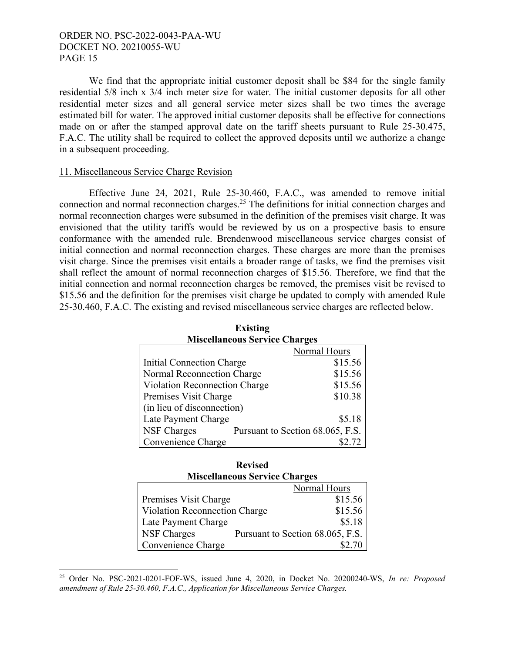We find that the appropriate initial customer deposit shall be \$84 for the single family residential 5/8 inch x 3/4 inch meter size for water. The initial customer deposits for all other residential meter sizes and all general service meter sizes shall be two times the average estimated bill for water. The approved initial customer deposits shall be effective for connections made on or after the stamped approval date on the tariff sheets pursuant to Rule 25-30.475, F.A.C. The utility shall be required to collect the approved deposits until we authorize a change in a subsequent proceeding.

#### 11. Miscellaneous Service Charge Revision

 $\overline{a}$ 

Effective June 24, 2021, Rule 25-30.460, F.A.C., was amended to remove initial connection and normal reconnection charges.25 The definitions for initial connection charges and normal reconnection charges were subsumed in the definition of the premises visit charge. It was envisioned that the utility tariffs would be reviewed by us on a prospective basis to ensure conformance with the amended rule. Brendenwood miscellaneous service charges consist of initial connection and normal reconnection charges. These charges are more than the premises visit charge. Since the premises visit entails a broader range of tasks, we find the premises visit shall reflect the amount of normal reconnection charges of \$15.56. Therefore, we find that the initial connection and normal reconnection charges be removed, the premises visit be revised to \$15.56 and the definition for the premises visit charge be updated to comply with amended Rule 25-30.460, F.A.C. The existing and revised miscellaneous service charges are reflected below.

| <b>Miscellaneous Service Charges</b> |  |                                  |  |  |
|--------------------------------------|--|----------------------------------|--|--|
|                                      |  | Normal Hours                     |  |  |
| Initial Connection Charge            |  | \$15.56                          |  |  |
| Normal Reconnection Charge           |  | \$15.56                          |  |  |
| Violation Reconnection Charge        |  | \$15.56                          |  |  |
| Premises Visit Charge                |  | \$10.38                          |  |  |
| (in lieu of disconnection)           |  |                                  |  |  |
| Late Payment Charge                  |  | \$5.18                           |  |  |
| <b>NSF Charges</b>                   |  | Pursuant to Section 68.065, F.S. |  |  |
| Convenience Charge                   |  |                                  |  |  |

| <b>Existing</b>                      |
|--------------------------------------|
| <b>Miscellaneous Service Charges</b> |
| $N = 1$ II                           |

| <b>Revised</b>                       |                                      |                                  |  |  |
|--------------------------------------|--------------------------------------|----------------------------------|--|--|
|                                      | <b>Miscellaneous Service Charges</b> |                                  |  |  |
|                                      |                                      | Normal Hours                     |  |  |
| \$15.56<br>Premises Visit Charge     |                                      |                                  |  |  |
| <b>Violation Reconnection Charge</b> |                                      | \$15.56                          |  |  |
| Late Payment Charge                  |                                      | \$5.18                           |  |  |
| <b>NSF Charges</b>                   |                                      | Pursuant to Section 68.065, F.S. |  |  |
| Convenience Charge                   |                                      |                                  |  |  |

<sup>25</sup> Order No. PSC-2021-0201-FOF-WS, issued June 4, 2020, in Docket No. 20200240-WS, *In re: Proposed amendment of Rule 25-30.460, F.A.C., Application for Miscellaneous Service Charges.*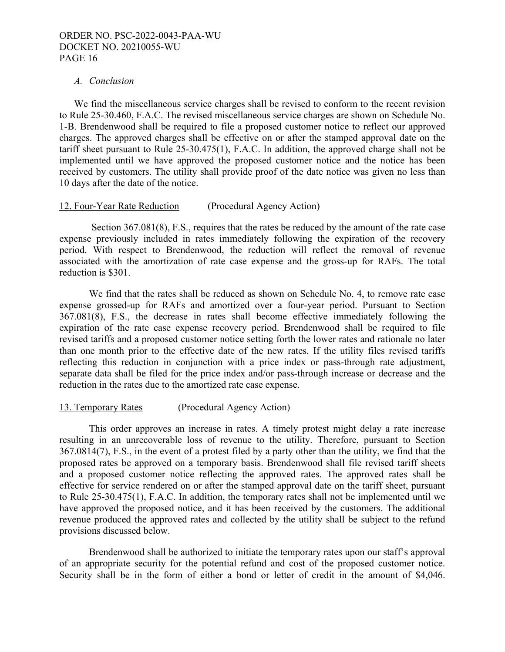### *A. Conclusion*

We find the miscellaneous service charges shall be revised to conform to the recent revision to Rule 25-30.460, F.A.C. The revised miscellaneous service charges are shown on Schedule No. 1-B. Brendenwood shall be required to file a proposed customer notice to reflect our approved charges. The approved charges shall be effective on or after the stamped approval date on the tariff sheet pursuant to Rule 25-30.475(1), F.A.C. In addition, the approved charge shall not be implemented until we have approved the proposed customer notice and the notice has been received by customers. The utility shall provide proof of the date notice was given no less than 10 days after the date of the notice.

## 12. Four-Year Rate Reduction (Procedural Agency Action)

 Section 367.081(8), F.S., requires that the rates be reduced by the amount of the rate case expense previously included in rates immediately following the expiration of the recovery period. With respect to Brendenwood, the reduction will reflect the removal of revenue associated with the amortization of rate case expense and the gross-up for RAFs. The total reduction is \$301.

We find that the rates shall be reduced as shown on Schedule No. 4, to remove rate case expense grossed-up for RAFs and amortized over a four-year period. Pursuant to Section 367.081(8), F.S., the decrease in rates shall become effective immediately following the expiration of the rate case expense recovery period. Brendenwood shall be required to file revised tariffs and a proposed customer notice setting forth the lower rates and rationale no later than one month prior to the effective date of the new rates. If the utility files revised tariffs reflecting this reduction in conjunction with a price index or pass-through rate adjustment, separate data shall be filed for the price index and/or pass-through increase or decrease and the reduction in the rates due to the amortized rate case expense.

## 13. Temporary Rates (Procedural Agency Action)

This order approves an increase in rates. A timely protest might delay a rate increase resulting in an unrecoverable loss of revenue to the utility. Therefore, pursuant to Section 367.0814(7), F.S., in the event of a protest filed by a party other than the utility, we find that the proposed rates be approved on a temporary basis. Brendenwood shall file revised tariff sheets and a proposed customer notice reflecting the approved rates. The approved rates shall be effective for service rendered on or after the stamped approval date on the tariff sheet, pursuant to Rule 25-30.475(1), F.A.C. In addition, the temporary rates shall not be implemented until we have approved the proposed notice, and it has been received by the customers. The additional revenue produced the approved rates and collected by the utility shall be subject to the refund provisions discussed below.

Brendenwood shall be authorized to initiate the temporary rates upon our staff's approval of an appropriate security for the potential refund and cost of the proposed customer notice. Security shall be in the form of either a bond or letter of credit in the amount of \$4,046.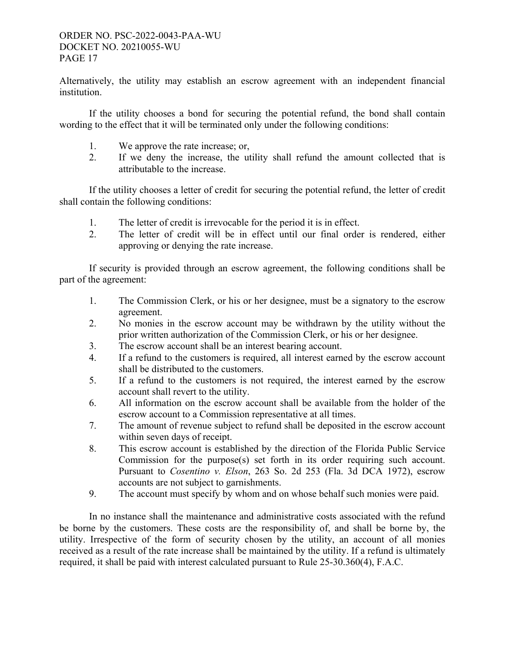Alternatively, the utility may establish an escrow agreement with an independent financial institution.

If the utility chooses a bond for securing the potential refund, the bond shall contain wording to the effect that it will be terminated only under the following conditions:

- 1. We approve the rate increase; or,
- 2. If we deny the increase, the utility shall refund the amount collected that is attributable to the increase.

If the utility chooses a letter of credit for securing the potential refund, the letter of credit shall contain the following conditions:

- 1. The letter of credit is irrevocable for the period it is in effect.
- 2. The letter of credit will be in effect until our final order is rendered, either approving or denying the rate increase.

If security is provided through an escrow agreement, the following conditions shall be part of the agreement:

- 1. The Commission Clerk, or his or her designee, must be a signatory to the escrow agreement.
- 2. No monies in the escrow account may be withdrawn by the utility without the prior written authorization of the Commission Clerk, or his or her designee.
- 3. The escrow account shall be an interest bearing account.
- 4. If a refund to the customers is required, all interest earned by the escrow account shall be distributed to the customers.
- 5. If a refund to the customers is not required, the interest earned by the escrow account shall revert to the utility.
- 6. All information on the escrow account shall be available from the holder of the escrow account to a Commission representative at all times.
- 7. The amount of revenue subject to refund shall be deposited in the escrow account within seven days of receipt.
- 8. This escrow account is established by the direction of the Florida Public Service Commission for the purpose(s) set forth in its order requiring such account. Pursuant to *Cosentino v. Elson*, 263 So. 2d 253 (Fla. 3d DCA 1972), escrow accounts are not subject to garnishments.
- 9. The account must specify by whom and on whose behalf such monies were paid.

In no instance shall the maintenance and administrative costs associated with the refund be borne by the customers. These costs are the responsibility of, and shall be borne by, the utility. Irrespective of the form of security chosen by the utility, an account of all monies received as a result of the rate increase shall be maintained by the utility. If a refund is ultimately required, it shall be paid with interest calculated pursuant to Rule 25-30.360(4), F.A.C.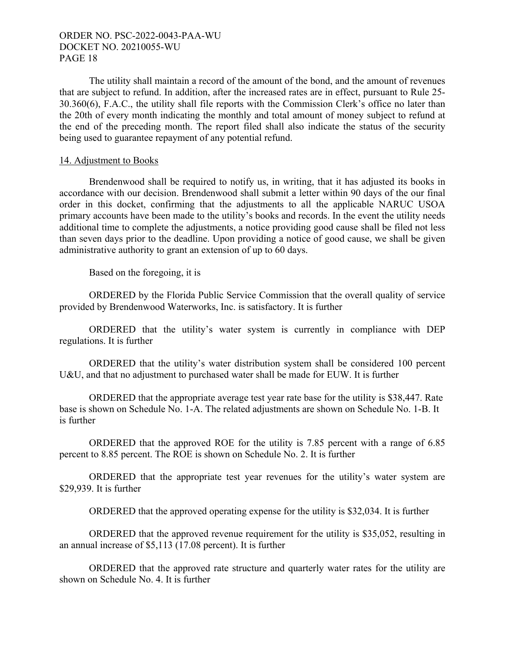The utility shall maintain a record of the amount of the bond, and the amount of revenues that are subject to refund. In addition, after the increased rates are in effect, pursuant to Rule 25- 30.360(6), F.A.C., the utility shall file reports with the Commission Clerk's office no later than the 20th of every month indicating the monthly and total amount of money subject to refund at the end of the preceding month. The report filed shall also indicate the status of the security being used to guarantee repayment of any potential refund.

### 14. Adjustment to Books

Brendenwood shall be required to notify us, in writing, that it has adjusted its books in accordance with our decision. Brendenwood shall submit a letter within 90 days of the our final order in this docket, confirming that the adjustments to all the applicable NARUC USOA primary accounts have been made to the utility's books and records. In the event the utility needs additional time to complete the adjustments, a notice providing good cause shall be filed not less than seven days prior to the deadline. Upon providing a notice of good cause, we shall be given administrative authority to grant an extension of up to 60 days.

Based on the foregoing, it is

ORDERED by the Florida Public Service Commission that the overall quality of service provided by Brendenwood Waterworks, Inc. is satisfactory. It is further

ORDERED that the utility's water system is currently in compliance with DEP regulations. It is further

ORDERED that the utility's water distribution system shall be considered 100 percent U&U, and that no adjustment to purchased water shall be made for EUW. It is further

ORDERED that the appropriate average test year rate base for the utility is \$38,447. Rate base is shown on Schedule No. 1-A. The related adjustments are shown on Schedule No. 1-B. It is further

ORDERED that the approved ROE for the utility is 7.85 percent with a range of 6.85 percent to 8.85 percent. The ROE is shown on Schedule No. 2. It is further

ORDERED that the appropriate test year revenues for the utility's water system are \$29,939. It is further

ORDERED that the approved operating expense for the utility is \$32,034. It is further

ORDERED that the approved revenue requirement for the utility is \$35,052, resulting in an annual increase of \$5,113 (17.08 percent). It is further

ORDERED that the approved rate structure and quarterly water rates for the utility are shown on Schedule No. 4. It is further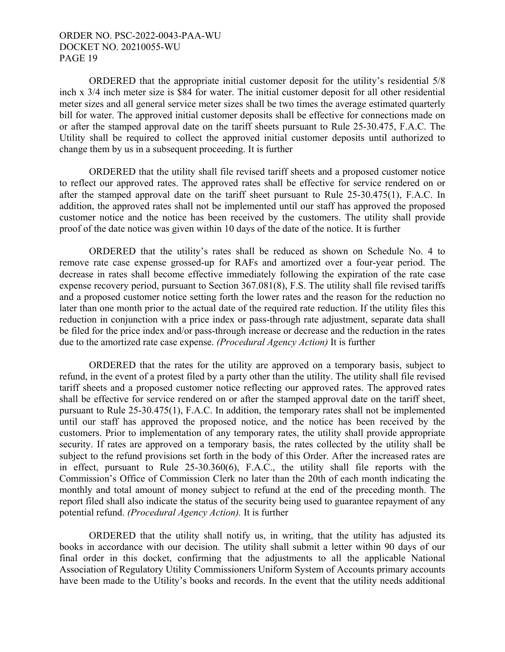ORDERED that the appropriate initial customer deposit for the utility's residential 5/8 inch x 3/4 inch meter size is \$84 for water. The initial customer deposit for all other residential meter sizes and all general service meter sizes shall be two times the average estimated quarterly bill for water. The approved initial customer deposits shall be effective for connections made on or after the stamped approval date on the tariff sheets pursuant to Rule 25-30.475, F.A.C. The Utility shall be required to collect the approved initial customer deposits until authorized to change them by us in a subsequent proceeding. It is further

ORDERED that the utility shall file revised tariff sheets and a proposed customer notice to reflect our approved rates. The approved rates shall be effective for service rendered on or after the stamped approval date on the tariff sheet pursuant to Rule 25-30.475(1), F.A.C. In addition, the approved rates shall not be implemented until our staff has approved the proposed customer notice and the notice has been received by the customers. The utility shall provide proof of the date notice was given within 10 days of the date of the notice. It is further

ORDERED that the utility's rates shall be reduced as shown on Schedule No. 4 to remove rate case expense grossed-up for RAFs and amortized over a four-year period. The decrease in rates shall become effective immediately following the expiration of the rate case expense recovery period, pursuant to Section 367.081(8), F.S. The utility shall file revised tariffs and a proposed customer notice setting forth the lower rates and the reason for the reduction no later than one month prior to the actual date of the required rate reduction. If the utility files this reduction in conjunction with a price index or pass-through rate adjustment, separate data shall be filed for the price index and/or pass-through increase or decrease and the reduction in the rates due to the amortized rate case expense. *(Procedural Agency Action)* It is further

ORDERED that the rates for the utility are approved on a temporary basis, subject to refund, in the event of a protest filed by a party other than the utility. The utility shall file revised tariff sheets and a proposed customer notice reflecting our approved rates. The approved rates shall be effective for service rendered on or after the stamped approval date on the tariff sheet, pursuant to Rule 25-30.475(1), F.A.C. In addition, the temporary rates shall not be implemented until our staff has approved the proposed notice, and the notice has been received by the customers. Prior to implementation of any temporary rates, the utility shall provide appropriate security. If rates are approved on a temporary basis, the rates collected by the utility shall be subject to the refund provisions set forth in the body of this Order. After the increased rates are in effect, pursuant to Rule 25-30.360(6), F.A.C., the utility shall file reports with the Commission's Office of Commission Clerk no later than the 20th of each month indicating the monthly and total amount of money subject to refund at the end of the preceding month. The report filed shall also indicate the status of the security being used to guarantee repayment of any potential refund. *(Procedural Agency Action).* It is further

ORDERED that the utility shall notify us, in writing, that the utility has adjusted its books in accordance with our decision. The utility shall submit a letter within 90 days of our final order in this docket, confirming that the adjustments to all the applicable National Association of Regulatory Utility Commissioners Uniform System of Accounts primary accounts have been made to the Utility's books and records. In the event that the utility needs additional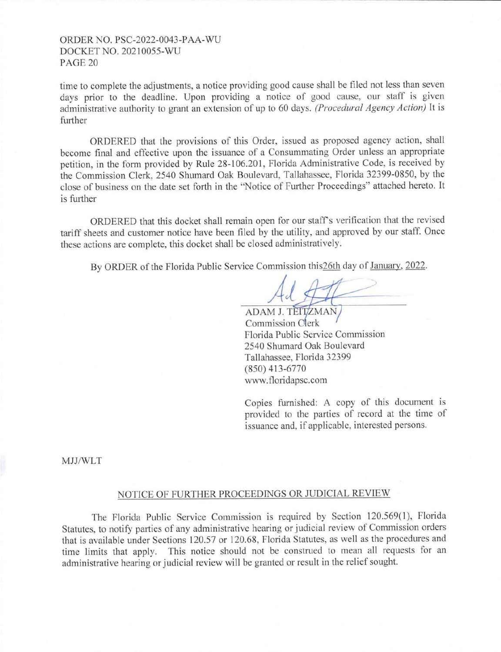time to complete the adjustments, a notice providing good cause shall be filed not less than seven days prior to the deadline. Upon providing a notice of good cause, our staff is given administrative authority to grant an extension of up to 60 days. *(Procedural Agency Action)* It is further

ORDERED that the provisions of this Order, issued as proposed agency action, shall become final and effective upon the issuance of a Consummating Order unless an appropriate petition, in the form provided by Rule 28-106.201, Florida Administrative Code, is received by the Commission Clerk, 2540 Shumard Oak Boulevard, Tallahassee, Florida 32399-0850, by the close of business on the date set forth in the "Notice of Further Proceedings" attached hereto. It is further

ORDERED that this docket shall remain open for our staff's verification that the revised tariff sheets and customer notice have been filed by the utility, and approved by our staff. Once these actions are complete, this docket shall be closed administratively.

By ORDER of the Florida Public Service Commission this 26th day of January, 2022.

ADAM J. TEITZMAN Commission Clerk Florida Public Service Commission 2540 Shumard Oak Boulevard Tallahassee, Florida 32399 (850) 413-6770 www.floridapsc.com

Copies furnished: A copy of this document is provided to the parties of record at the time of issuance and, if applicable, interested persons.

MJJ/WLT

### NOTICE OF FURTHER PROCEEDINGS OR JUDICIAL REVIEW

The Florida Public Service Commission is required by Section 120.569(1), Florida Statutes, to notify parties of any administrative hearing or judicial review of Commission orders that is available under Sections 120.57 or 120.68, Florida Statutes, as well as the procedures and time limits that apply. This notice should not be construed to mean all requests for an administrative hearing or judicial review will be granted or result in the relief sought.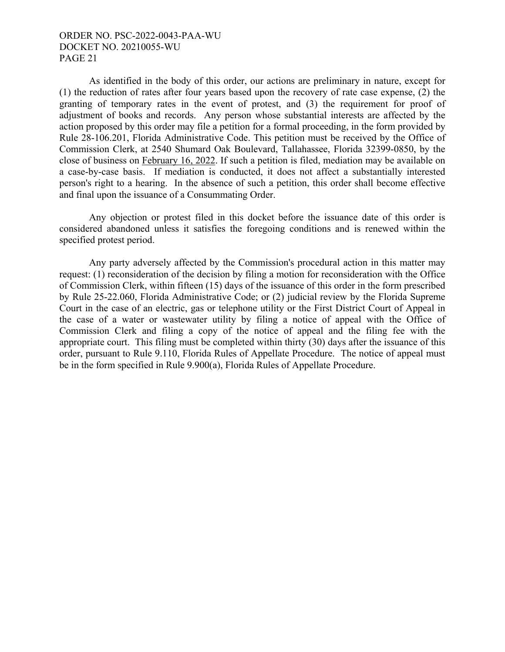As identified in the body of this order, our actions are preliminary in nature, except for (1) the reduction of rates after four years based upon the recovery of rate case expense, (2) the granting of temporary rates in the event of protest, and (3) the requirement for proof of adjustment of books and records. Any person whose substantial interests are affected by the action proposed by this order may file a petition for a formal proceeding, in the form provided by Rule 28-106.201, Florida Administrative Code. This petition must be received by the Office of Commission Clerk, at 2540 Shumard Oak Boulevard, Tallahassee, Florida 32399-0850, by the close of business on February 16, 2022. If such a petition is filed, mediation may be available on a case-by-case basis. If mediation is conducted, it does not affect a substantially interested person's right to a hearing. In the absence of such a petition, this order shall become effective and final upon the issuance of a Consummating Order.

 Any objection or protest filed in this docket before the issuance date of this order is considered abandoned unless it satisfies the foregoing conditions and is renewed within the specified protest period.

 Any party adversely affected by the Commission's procedural action in this matter may request: (1) reconsideration of the decision by filing a motion for reconsideration with the Office of Commission Clerk, within fifteen (15) days of the issuance of this order in the form prescribed by Rule 25-22.060, Florida Administrative Code; or (2) judicial review by the Florida Supreme Court in the case of an electric, gas or telephone utility or the First District Court of Appeal in the case of a water or wastewater utility by filing a notice of appeal with the Office of Commission Clerk and filing a copy of the notice of appeal and the filing fee with the appropriate court. This filing must be completed within thirty (30) days after the issuance of this order, pursuant to Rule 9.110, Florida Rules of Appellate Procedure. The notice of appeal must be in the form specified in Rule 9.900(a), Florida Rules of Appellate Procedure.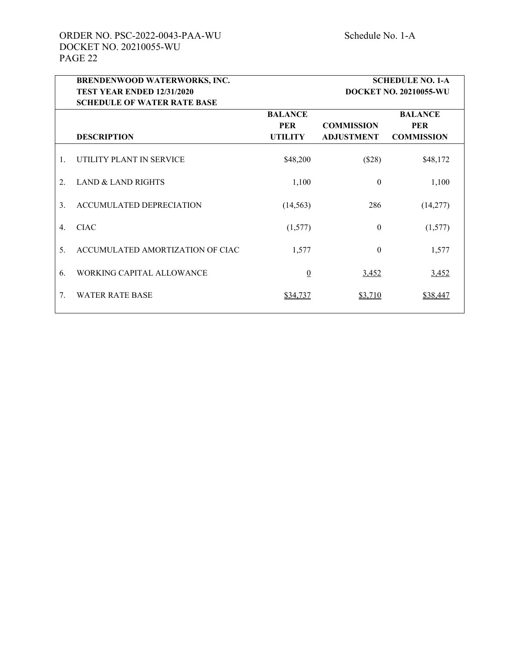|    | BRENDENWOOD WATERWORKS, INC.       |                               | <b>SCHEDULE NO. 1-A</b> |                   |  |  |
|----|------------------------------------|-------------------------------|-------------------------|-------------------|--|--|
|    | TEST YEAR ENDED 12/31/2020         | <b>DOCKET NO. 20210055-WU</b> |                         |                   |  |  |
|    | <b>SCHEDULE OF WATER RATE BASE</b> |                               |                         |                   |  |  |
|    |                                    | <b>BALANCE</b>                |                         | <b>BALANCE</b>    |  |  |
|    |                                    | <b>PER</b>                    | <b>COMMISSION</b>       | <b>PER</b>        |  |  |
|    | <b>DESCRIPTION</b>                 | <b>UTILITY</b>                | <b>ADJUSTMENT</b>       | <b>COMMISSION</b> |  |  |
| 1. | UTILITY PLANT IN SERVICE           | \$48,200                      | (\$28)                  | \$48,172          |  |  |
| 2. | <b>LAND &amp; LAND RIGHTS</b>      | 1,100                         | $\theta$                | 1,100             |  |  |
| 3. | ACCUMULATED DEPRECIATION           | (14, 563)                     | 286                     | (14,277)          |  |  |
| 4. | <b>CIAC</b>                        | (1,577)                       | $\theta$                | (1,577)           |  |  |
| 5. | ACCUMULATED AMORTIZATION OF CIAC   | 1,577                         | $\theta$                | 1,577             |  |  |
| 6. | WORKING CAPITAL ALLOWANCE          | $\overline{0}$                | <u>3,452</u>            | 3,452             |  |  |
| 7. | <b>WATER RATE BASE</b>             | \$34,737                      | \$3,710                 | \$38,447          |  |  |
|    |                                    |                               |                         |                   |  |  |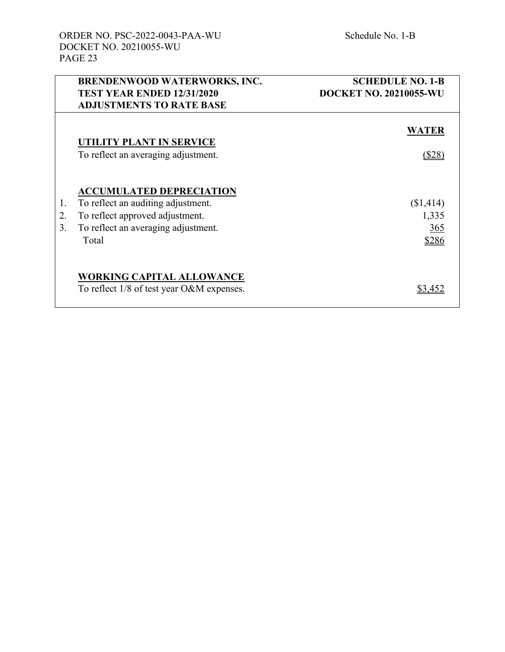|    | <b>BRENDENWOOD WATERWORKS, INC.</b>       | <b>SCHEDULE NO. 1-B</b>       |
|----|-------------------------------------------|-------------------------------|
|    | <b>TEST YEAR ENDED 12/31/2020</b>         | <b>DOCKET NO. 20210055-WU</b> |
|    | <b>ADJUSTMENTS TO RATE BASE</b>           |                               |
|    | <b>UTILITY PLANT IN SERVICE</b>           | <b>WATER</b>                  |
|    | To reflect an averaging adjustment.       | (\$28                         |
|    | <b>ACCUMULATED DEPRECIATION</b>           |                               |
| 1. | To reflect an auditing adjustment.        | (\$1,414)                     |
| 2. | To reflect approved adjustment.           | 1,335                         |
| 3. | To reflect an averaging adjustment.       | 365                           |
|    | Total                                     | \$286                         |
|    | <b>WORKING CAPITAL ALLOWANCE</b>          |                               |
|    | To reflect 1/8 of test year O&M expenses. | \$3.45                        |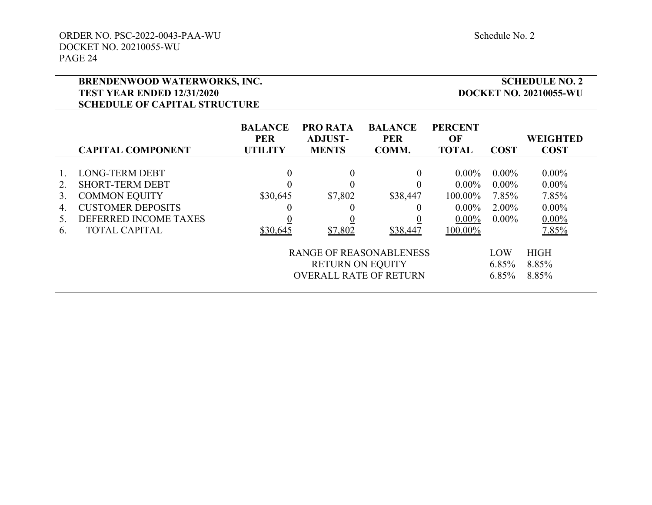| <b>BRENDENWOOD WATERWORKS, INC.</b><br><b>TEST YEAR ENDED 12/31/2020</b><br><b>SCHEDULE OF CAPITAL STRUCTURE</b> |                                                                                                                                                      |                                                    |                                                                                                                |                                                                                                                    |                                                                    | <b>SCHEDULE NO. 2</b><br><b>DOCKET NO. 20210055-WU</b>                         |                                                                                                 |
|------------------------------------------------------------------------------------------------------------------|------------------------------------------------------------------------------------------------------------------------------------------------------|----------------------------------------------------|----------------------------------------------------------------------------------------------------------------|--------------------------------------------------------------------------------------------------------------------|--------------------------------------------------------------------|--------------------------------------------------------------------------------|-------------------------------------------------------------------------------------------------|
|                                                                                                                  | <b>CAPITAL COMPONENT</b>                                                                                                                             | <b>BALANCE</b><br><b>PER</b><br><b>UTILITY</b>     | <b>PRO RATA</b><br><b>ADJUST-</b><br><b>MENTS</b>                                                              | <b>BALANCE</b><br><b>PER</b><br>COMM.                                                                              | <b>PERCENT</b><br>OF<br><b>TOTAL</b>                               | <b>COST</b>                                                                    | <b>WEIGHTED</b><br><b>COST</b>                                                                  |
| 2.<br>3.<br>4.<br>5.<br>6.                                                                                       | <b>LONG-TERM DEBT</b><br><b>SHORT-TERM DEBT</b><br><b>COMMON EQUITY</b><br><b>CUSTOMER DEPOSITS</b><br>DEFERRED INCOME TAXES<br><b>TOTAL CAPITAL</b> | $\overline{0}$<br>\$30,645<br>$\theta$<br>\$30,645 | $\boldsymbol{0}$<br>\$7,802<br>$\theta$<br>\$7,802<br><b>RETURN ON EQUITY</b><br><b>OVERALL RATE OF RETURN</b> | $\overline{0}$<br>$\theta$<br>\$38,447<br>$\theta$<br>$\overline{0}$<br>\$38,447<br><b>RANGE OF REASONABLENESS</b> | $0.00\%$<br>$0.00\%$<br>100.00%<br>$0.00\%$<br>$0.00\%$<br>100.00% | $0.00\%$<br>$0.00\%$<br>7.85%<br>$2.00\%$<br>$0.00\%$<br>LOW<br>6.85%<br>6.85% | $0.00\%$<br>$0.00\%$<br>7.85%<br>$0.00\%$<br>$0.00\%$<br>7.85%<br><b>HIGH</b><br>8.85%<br>8.85% |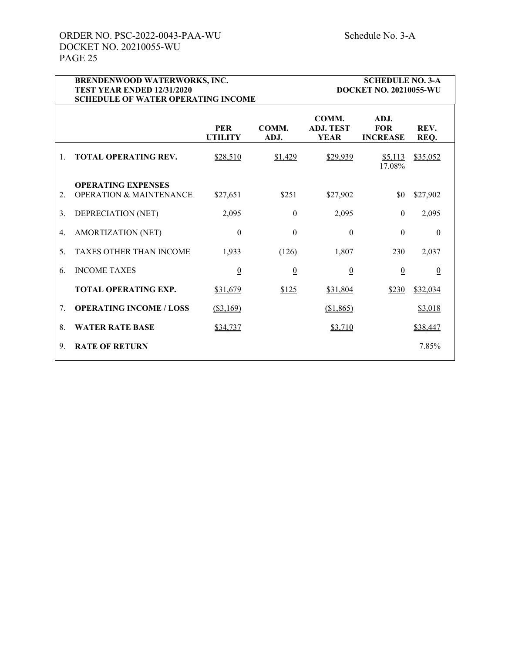|    | BRENDENWOOD WATERWORKS, INC.<br>TEST YEAR ENDED 12/31/2020<br><b>SCHEDULE OF WATER OPERATING INCOME</b> |                 |                 |                                          | <b>SCHEDULE NO. 3-A</b><br><b>DOCKET NO. 20210055-WU</b> |                 |
|----|---------------------------------------------------------------------------------------------------------|-----------------|-----------------|------------------------------------------|----------------------------------------------------------|-----------------|
|    | <b>PER</b><br>COMM.<br><b>UTILITY</b><br>ADJ.                                                           |                 |                 | COMM.<br><b>ADJ. TEST</b><br><b>YEAR</b> | ADJ.<br><b>FOR</b><br><b>INCREASE</b>                    | REV.<br>REQ.    |
| 1. | <b>TOTAL OPERATING REV.</b>                                                                             | \$28,510        | \$1,429         | \$29,939                                 | \$5,113<br>17.08%                                        | \$35,052        |
| 2. | <b>OPERATING EXPENSES</b><br><b>OPERATION &amp; MAINTENANCE</b>                                         | \$27,651        | \$251           | \$27,902                                 | \$0                                                      | \$27,902        |
| 3. | DEPRECIATION (NET)                                                                                      | 2,095           | $\theta$        | 2,095                                    | $\mathbf{0}$                                             | 2,095           |
| 4. | AMORTIZATION (NET)                                                                                      | $\theta$        | $\Omega$        | $\theta$                                 | $\Omega$                                                 | $\Omega$        |
| 5. | <b>TAXES OTHER THAN INCOME</b>                                                                          | 1,933           | (126)           | 1,807                                    | 230                                                      | 2,037           |
| 6. | <b>INCOME TAXES</b>                                                                                     | $\underline{0}$ | $\underline{0}$ | $\underline{0}$                          | $\overline{0}$                                           | $\underline{0}$ |
|    | <b>TOTAL OPERATING EXP.</b>                                                                             | \$31,679        | \$125           | \$31,804                                 | \$230                                                    | \$32,034        |
| 7. | <b>OPERATING INCOME / LOSS</b>                                                                          | ( \$3,169)      |                 | \$1,865                                  |                                                          | \$3,018         |
| 8. | <b>WATER RATE BASE</b>                                                                                  | \$34,737        |                 | \$3,710                                  |                                                          | \$38,447        |
| 9. | <b>RATE OF RETURN</b>                                                                                   |                 |                 |                                          |                                                          | 7.85%           |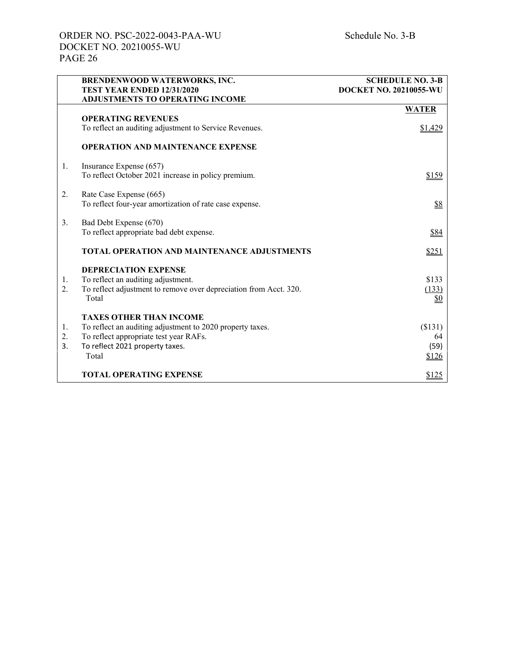|    | <b>BRENDENWOOD WATERWORKS, INC.</b><br>TEST YEAR ENDED 12/31/2020<br><b>ADJUSTMENTS TO OPERATING INCOME</b> | <b>SCHEDULE NO. 3-B</b><br><b>DOCKET NO. 20210055-WU</b> |
|----|-------------------------------------------------------------------------------------------------------------|----------------------------------------------------------|
|    |                                                                                                             | <b>WATER</b>                                             |
|    | <b>OPERATING REVENUES</b>                                                                                   |                                                          |
|    | To reflect an auditing adjustment to Service Revenues.                                                      | \$1,429                                                  |
|    | <b>OPERATION AND MAINTENANCE EXPENSE</b>                                                                    |                                                          |
| 1. | Insurance Expense (657)                                                                                     |                                                          |
|    | To reflect October 2021 increase in policy premium.                                                         | \$159                                                    |
| 2. | Rate Case Expense (665)                                                                                     |                                                          |
|    | To reflect four-year amortization of rate case expense.                                                     | \$8                                                      |
| 3. | Bad Debt Expense (670)                                                                                      |                                                          |
|    | To reflect appropriate bad debt expense.                                                                    | \$84                                                     |
|    | <b>TOTAL OPERATION AND MAINTENANCE ADJUSTMENTS</b>                                                          | \$251                                                    |
|    | <b>DEPRECIATION EXPENSE</b>                                                                                 |                                                          |
| 1. | To reflect an auditing adjustment.                                                                          | \$133                                                    |
| 2. | To reflect adjustment to remove over depreciation from Acct. 320.                                           | (133)                                                    |
|    | Total                                                                                                       | \$0                                                      |
|    | <b>TAXES OTHER THAN INCOME</b>                                                                              |                                                          |
| 1. | To reflect an auditing adjustment to 2020 property taxes.                                                   | (\$131)                                                  |
| 2. | To reflect appropriate test year RAFs.                                                                      | 64                                                       |
| 3. | To reflect 2021 property taxes.                                                                             | (59)                                                     |
|    | Total                                                                                                       | \$126                                                    |
|    | <b>TOTAL OPERATING EXPENSE</b>                                                                              | \$125                                                    |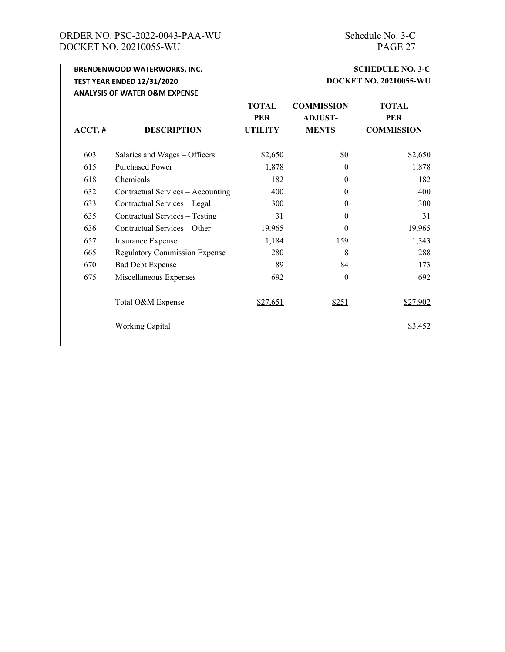# ORDER NO. PSC-2022-0043-PAA-WU Schedule No. 3-C<br>DOCKET NO. 20210055-WU PAGE 27 DOCKET NO. 20210055-WU

|           | <b>BRENDENWOOD WATERWORKS, INC.</b>      |                |                               | <b>SCHEDULE NO. 3-C</b> |
|-----------|------------------------------------------|----------------|-------------------------------|-------------------------|
|           | <b>TEST YEAR ENDED 12/31/2020</b>        |                | <b>DOCKET NO. 20210055-WU</b> |                         |
|           | <b>ANALYSIS OF WATER O&amp;M EXPENSE</b> |                |                               |                         |
|           |                                          | <b>TOTAL</b>   | <b>COMMISSION</b>             | <b>TOTAL</b>            |
|           |                                          | <b>PER</b>     | <b>ADJUST-</b>                | <b>PER</b>              |
| $ACCT.$ # | <b>DESCRIPTION</b>                       | <b>UTILITY</b> | <b>MENTS</b>                  | <b>COMMISSION</b>       |
| 603       | Salaries and Wages - Officers            | \$2,650        | \$0                           | \$2,650                 |
| 615       | <b>Purchased Power</b>                   | 1,878          | $\overline{0}$                | 1,878                   |
| 618       | Chemicals                                | 182            | $\theta$                      | 182                     |
| 632       | Contractual Services - Accounting        | 400            | $\theta$                      | 400                     |
| 633       | Contractual Services - Legal             | 300            | $\Omega$                      | 300                     |
| 635       | Contractual Services - Testing           | 31             | $\theta$                      | 31                      |
| 636       | Contractual Services – Other             | 19.965         | $\theta$                      | 19,965                  |
| 657       | Insurance Expense                        | 1,184          | 159                           | 1,343                   |
| 665       | <b>Regulatory Commission Expense</b>     | 280            | 8                             | 288                     |
| 670       | <b>Bad Debt Expense</b>                  | 89             | 84                            | 173                     |
| 675       | Miscellaneous Expenses                   | 692            | $\overline{0}$                | 692                     |
|           | Total O&M Expense                        | \$27,651       | \$251                         | \$27,902                |
|           | <b>Working Capital</b>                   |                |                               | \$3,452                 |